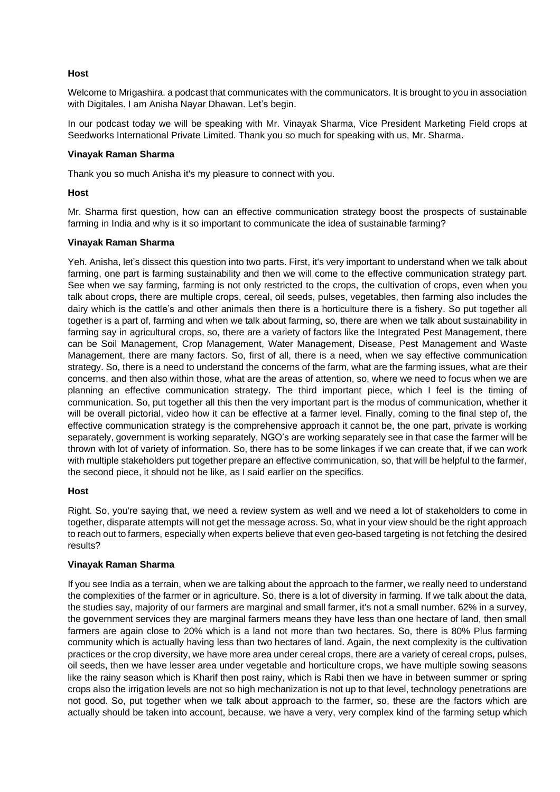# **Host**

Welcome to Mrigashira. a podcast that communicates with the communicators. It is brought to you in association with Digitales. I am Anisha Nayar Dhawan. Let's begin.

In our podcast today we will be speaking with Mr. Vinayak Sharma, Vice President Marketing Field crops at Seedworks International Private Limited. Thank you so much for speaking with us, Mr. Sharma.

### **Vinayak Raman Sharma**

Thank you so much Anisha it's my pleasure to connect with you.

### **Host**

Mr. Sharma first question, how can an effective communication strategy boost the prospects of sustainable farming in India and why is it so important to communicate the idea of sustainable farming?

### **Vinayak Raman Sharma**

Yeh. Anisha, let's dissect this question into two parts. First, it's very important to understand when we talk about farming, one part is farming sustainability and then we will come to the effective communication strategy part. See when we say farming, farming is not only restricted to the crops, the cultivation of crops, even when you talk about crops, there are multiple crops, cereal, oil seeds, pulses, vegetables, then farming also includes the dairy which is the cattle's and other animals then there is a horticulture there is a fishery. So put together all together is a part of, farming and when we talk about farming, so, there are when we talk about sustainability in farming say in agricultural crops, so, there are a variety of factors like the Integrated Pest Management, there can be Soil Management, Crop Management, Water Management, Disease, Pest Management and Waste Management, there are many factors. So, first of all, there is a need, when we say effective communication strategy. So, there is a need to understand the concerns of the farm, what are the farming issues, what are their concerns, and then also within those, what are the areas of attention, so, where we need to focus when we are planning an effective communication strategy. The third important piece, which I feel is the timing of communication. So, put together all this then the very important part is the modus of communication, whether it will be overall pictorial, video how it can be effective at a farmer level. Finally, coming to the final step of, the effective communication strategy is the comprehensive approach it cannot be, the one part, private is working separately, government is working separately, NGO's are working separately see in that case the farmer will be thrown with lot of variety of information. So, there has to be some linkages if we can create that, if we can work with multiple stakeholders put together prepare an effective communication, so, that will be helpful to the farmer, the second piece, it should not be like, as I said earlier on the specifics.

# **Host**

Right. So, you're saying that, we need a review system as well and we need a lot of stakeholders to come in together, disparate attempts will not get the message across. So, what in your view should be the right approach to reach out to farmers, especially when experts believe that even geo-based targeting is not fetching the desired results?

# **Vinayak Raman Sharma**

If you see India as a terrain, when we are talking about the approach to the farmer, we really need to understand the complexities of the farmer or in agriculture. So, there is a lot of diversity in farming. If we talk about the data, the studies say, majority of our farmers are marginal and small farmer, it's not a small number. 62% in a survey, the government services they are marginal farmers means they have less than one hectare of land, then small farmers are again close to 20% which is a land not more than two hectares. So, there is 80% Plus farming community which is actually having less than two hectares of land. Again, the next complexity is the cultivation practices or the crop diversity, we have more area under cereal crops, there are a variety of cereal crops, pulses, oil seeds, then we have lesser area under vegetable and horticulture crops, we have multiple sowing seasons like the rainy season which is Kharif then post rainy, which is Rabi then we have in between summer or spring crops also the irrigation levels are not so high mechanization is not up to that level, technology penetrations are not good. So, put together when we talk about approach to the farmer, so, these are the factors which are actually should be taken into account, because, we have a very, very complex kind of the farming setup which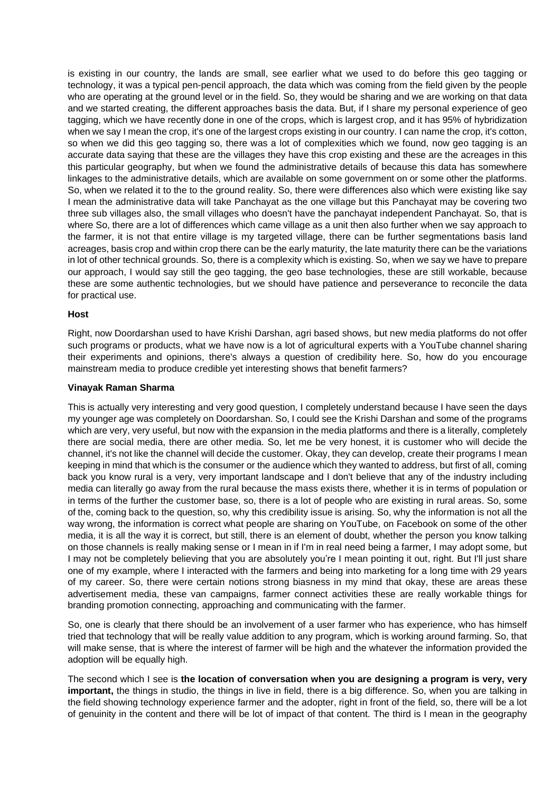is existing in our country, the lands are small, see earlier what we used to do before this geo tagging or technology, it was a typical pen-pencil approach, the data which was coming from the field given by the people who are operating at the ground level or in the field. So, they would be sharing and we are working on that data and we started creating, the different approaches basis the data. But, if I share my personal experience of geo tagging, which we have recently done in one of the crops, which is largest crop, and it has 95% of hybridization when we say I mean the crop, it's one of the largest crops existing in our country. I can name the crop, it's cotton, so when we did this geo tagging so, there was a lot of complexities which we found, now geo tagging is an accurate data saying that these are the villages they have this crop existing and these are the acreages in this this particular geography, but when we found the administrative details of because this data has somewhere linkages to the administrative details, which are available on some government on or some other the platforms. So, when we related it to the to the ground reality. So, there were differences also which were existing like say I mean the administrative data will take Panchayat as the one village but this Panchayat may be covering two three sub villages also, the small villages who doesn't have the panchayat independent Panchayat. So, that is where So, there are a lot of differences which came village as a unit then also further when we say approach to the farmer, it is not that entire village is my targeted village, there can be further segmentations basis land acreages, basis crop and within crop there can be the early maturity, the late maturity there can be the variations in lot of other technical grounds. So, there is a complexity which is existing. So, when we say we have to prepare our approach, I would say still the geo tagging, the geo base technologies, these are still workable, because these are some authentic technologies, but we should have patience and perseverance to reconcile the data for practical use.

#### **Host**

Right, now Doordarshan used to have Krishi Darshan, agri based shows, but new media platforms do not offer such programs or products, what we have now is a lot of agricultural experts with a YouTube channel sharing their experiments and opinions, there's always a question of credibility here. So, how do you encourage mainstream media to produce credible yet interesting shows that benefit farmers?

#### **Vinayak Raman Sharma**

This is actually very interesting and very good question, I completely understand because I have seen the days my younger age was completely on Doordarshan. So, I could see the Krishi Darshan and some of the programs which are very, very useful, but now with the expansion in the media platforms and there is a literally, completely there are social media, there are other media. So, let me be very honest, it is customer who will decide the channel, it's not like the channel will decide the customer. Okay, they can develop, create their programs I mean keeping in mind that which is the consumer or the audience which they wanted to address, but first of all, coming back you know rural is a very, very important landscape and I don't believe that any of the industry including media can literally go away from the rural because the mass exists there, whether it is in terms of population or in terms of the further the customer base, so, there is a lot of people who are existing in rural areas. So, some of the, coming back to the question, so, why this credibility issue is arising. So, why the information is not all the way wrong, the information is correct what people are sharing on YouTube, on Facebook on some of the other media, it is all the way it is correct, but still, there is an element of doubt, whether the person you know talking on those channels is really making sense or I mean in if I'm in real need being a farmer, I may adopt some, but I may not be completely believing that you are absolutely you're I mean pointing it out, right. But I'll just share one of my example, where I interacted with the farmers and being into marketing for a long time with 29 years of my career. So, there were certain notions strong biasness in my mind that okay, these are areas these advertisement media, these van campaigns, farmer connect activities these are really workable things for branding promotion connecting, approaching and communicating with the farmer.

So, one is clearly that there should be an involvement of a user farmer who has experience, who has himself tried that technology that will be really value addition to any program, which is working around farming. So, that will make sense, that is where the interest of farmer will be high and the whatever the information provided the adoption will be equally high.

The second which I see is **the location of conversation when you are designing a program is very, very important,** the things in studio, the things in live in field, there is a big difference. So, when you are talking in the field showing technology experience farmer and the adopter, right in front of the field, so, there will be a lot of genuinity in the content and there will be lot of impact of that content. The third is I mean in the geography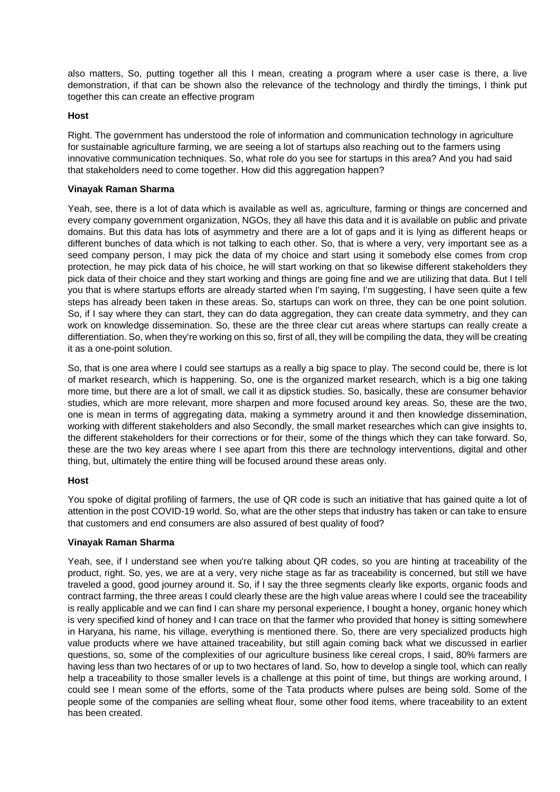also matters, So, putting together all this I mean, creating a program where a user case is there, a live demonstration, if that can be shown also the relevance of the technology and thirdly the timings, I think put together this can create an effective program

# **Host**

Right. The government has understood the role of information and communication technology in agriculture for sustainable agriculture farming, we are seeing a lot of startups also reaching out to the farmers using innovative communication techniques. So, what role do you see for startups in this area? And you had said that stakeholders need to come together. How did this aggregation happen?

### **Vinayak Raman Sharma**

Yeah, see, there is a lot of data which is available as well as, agriculture, farming or things are concerned and every company government organization, NGOs, they all have this data and it is available on public and private domains. But this data has lots of asymmetry and there are a lot of gaps and it is lying as different heaps or different bunches of data which is not talking to each other. So, that is where a very, very important see as a seed company person, I may pick the data of my choice and start using it somebody else comes from crop protection, he may pick data of his choice, he will start working on that so likewise different stakeholders they pick data of their choice and they start working and things are going fine and we are utilizing that data. But I tell you that is where startups efforts are already started when I'm saying, I'm suggesting, I have seen quite a few steps has already been taken in these areas. So, startups can work on three, they can be one point solution. So, if I say where they can start, they can do data aggregation, they can create data symmetry, and they can work on knowledge dissemination. So, these are the three clear cut areas where startups can really create a differentiation. So, when they're working on this so, first of all, they will be compiling the data, they will be creating it as a one-point solution.

So, that is one area where I could see startups as a really a big space to play. The second could be, there is lot of market research, which is happening. So, one is the organized market research, which is a big one taking more time, but there are a lot of small, we call it as dipstick studies. So, basically, these are consumer behavior studies, which are more relevant, more sharpen and more focused around key areas. So, these are the two, one is mean in terms of aggregating data, making a symmetry around it and then knowledge dissemination, working with different stakeholders and also Secondly, the small market researches which can give insights to, the different stakeholders for their corrections or for their, some of the things which they can take forward. So, these are the two key areas where I see apart from this there are technology interventions, digital and other thing, but, ultimately the entire thing will be focused around these areas only.

# **Host**

You spoke of digital profiling of farmers, the use of QR code is such an initiative that has gained quite a lot of attention in the post COVID-19 world. So, what are the other steps that industry has taken or can take to ensure that customers and end consumers are also assured of best quality of food?

# **Vinayak Raman Sharma**

Yeah, see, if I understand see when you're talking about QR codes, so you are hinting at traceability of the product, right. So, yes, we are at a very, very niche stage as far as traceability is concerned, but still we have traveled a good, good journey around it. So, if I say the three segments clearly like exports, organic foods and contract farming, the three areas I could clearly these are the high value areas where I could see the traceability is really applicable and we can find I can share my personal experience, I bought a honey, organic honey which is very specified kind of honey and I can trace on that the farmer who provided that honey is sitting somewhere in Haryana, his name, his village, everything is mentioned there. So, there are very specialized products high value products where we have attained traceability, but still again coming back what we discussed in earlier questions, so, some of the complexities of our agriculture business like cereal crops, I said, 80% farmers are having less than two hectares of or up to two hectares of land. So, how to develop a single tool, which can really help a traceability to those smaller levels is a challenge at this point of time, but things are working around, I could see I mean some of the efforts, some of the Tata products where pulses are being sold. Some of the people some of the companies are selling wheat flour, some other food items, where traceability to an extent has been created.